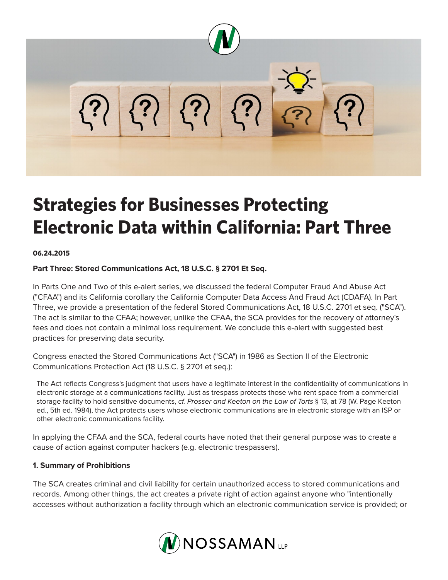

# **Strategies for Businesses Protecting Electronic Data within California: Part Three**

#### **06.24.2015**

#### **Part Three: Stored Communications Act, 18 U.S.C. § 2701 Et Seq.**

In Parts One and Two of this e-alert series, we discussed the federal Computer Fraud And Abuse Act ("CFAA") and its California corollary the California Computer Data Access And Fraud Act (CDAFA). In Part Three, we provide a presentation of the federal Stored Communications Act, 18 U.S.C. 2701 et seq. ("SCA"). The act is similar to the CFAA; however, unlike the CFAA, the SCA provides for the recovery of attorney's fees and does not contain a minimal loss requirement. We conclude this e-alert with suggested best practices for preserving data security.

Congress enacted the Stored Communications Act ("SCA") in 1986 as Section II of the Electronic Communications Protection Act (18 U.S.C. § 2701 et seq.):

The Act reflects Congress's judgment that users have a legitimate interest in the confidentiality of communications in electronic storage at a communications facility. Just as trespass protects those who rent space from a commercial storage facility to hold sensitive documents, *cf. Prosser and Keeton on the Law of Torts* § 13, at 78 (W. Page Keeton ed., 5th ed. 1984), the Act protects users whose electronic communications are in electronic storage with an ISP or other electronic communications facility.

In applying the CFAA and the SCA, federal courts have noted that their general purpose was to create a cause of action against computer hackers (e.g. electronic trespassers).

#### **1. Summary of Prohibitions**

The SCA creates criminal and civil liability for certain unauthorized access to stored communications and records. Among other things, the act creates a private right of action against anyone who "intentionally accesses without authorization a facility through which an electronic communication service is provided; or

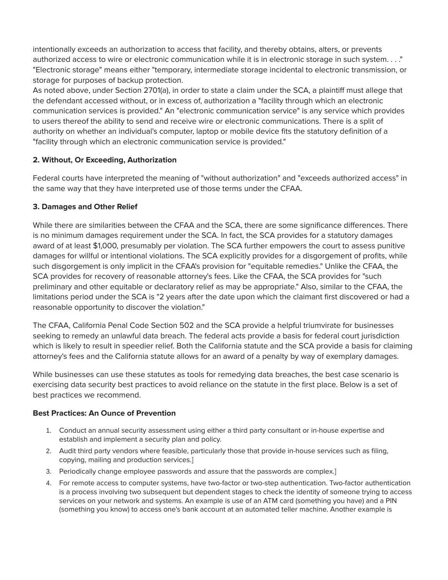intentionally exceeds an authorization to access that facility, and thereby obtains, alters, or prevents authorized access to wire or electronic communication while it is in electronic storage in such system. . . ." "Electronic storage" means either "temporary, intermediate storage incidental to electronic transmission, or storage for purposes of backup protection.

As noted above, under Section 2701(a), in order to state a claim under the SCA, a plaintiff must allege that the defendant accessed without, or in excess of, authorization a "facility through which an electronic communication services is provided." An "electronic communication service" is any service which provides to users thereof the ability to send and receive wire or electronic communications. There is a split of authority on whether an individual's computer, laptop or mobile device fits the statutory definition of a "facility through which an electronic communication service is provided."

## **2. Without, Or Exceeding, Authorization**

Federal courts have interpreted the meaning of "without authorization" and "exceeds authorized access" in the same way that they have interpreted use of those terms under the CFAA.

## **3. Damages and Other Relief**

While there are similarities between the CFAA and the SCA, there are some significance differences. There is no minimum damages requirement under the SCA. In fact, the SCA provides for a statutory damages award of at least \$1,000, presumably per violation. The SCA further empowers the court to assess punitive damages for willful or intentional violations. The SCA explicitly provides for a disgorgement of profits, while such disgorgement is only implicit in the CFAA's provision for "equitable remedies." Unlike the CFAA, the SCA provides for recovery of reasonable attorney's fees. Like the CFAA, the SCA provides for "such preliminary and other equitable or declaratory relief as may be appropriate." Also, similar to the CFAA, the limitations period under the SCA is "2 years after the date upon which the claimant first discovered or had a reasonable opportunity to discover the violation."

The CFAA, California Penal Code Section 502 and the SCA provide a helpful triumvirate for businesses seeking to remedy an unlawful data breach. The federal acts provide a basis for federal court jurisdiction which is likely to result in speedier relief. Both the California statute and the SCA provide a basis for claiming attorney's fees and the California statute allows for an award of a penalty by way of exemplary damages.

While businesses can use these statutes as tools for remedying data breaches, the best case scenario is exercising data security best practices to avoid reliance on the statute in the first place. Below is a set of best practices we recommend.

### **Best Practices: An Ounce of Prevention**

- 1. Conduct an annual security assessment using either a third party consultant or in-house expertise and establish and implement a security plan and policy.
- 2. Audit third party vendors where feasible, particularly those that provide in-house services such as filing, copying, mailing and production services.]
- 3. Periodically change employee passwords and assure that the passwords are complex.]
- 4. For remote access to computer systems, have two-factor or two-step authentication. Two-factor authentication is a process involving two subsequent but dependent stages to check the identity of someone trying to access services on your network and systems. An example is use of an ATM card (something you have) and a PIN (something you know) to access one's bank account at an automated teller machine. Another example is